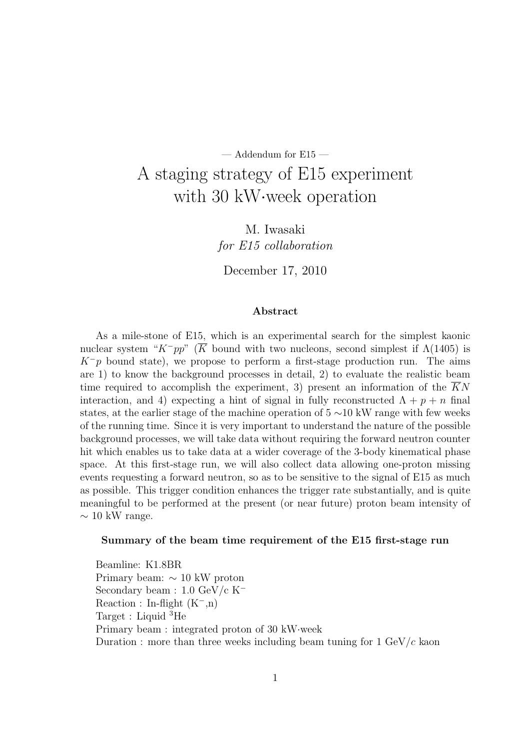# — Addendum for E15 — A staging strategy of E15 experiment with 30 kW*·*week operation

M. Iwasaki *for E15 collaboration*

December 17, 2010

#### **Abstract**

As a mile-stone of E15, which is an experimental search for the simplest kaonic nuclear system " $K^-pp$ " ( $\overline{K}$  bound with two nucleons, second simplest if  $\Lambda(1405)$  is *K−p* bound state), we propose to perform a first-stage production run. The aims are 1) to know the background processes in detail, 2) to evaluate the realistic beam time required to accomplish the experiment, 3) present an information of the *KN* interaction, and 4) expecting a hint of signal in fully reconstructed  $\Lambda + p + n$  final states, at the earlier stage of the machine operation of 5 *∼*10 kW range with few weeks of the running time. Since it is very important to understand the nature of the possible background processes, we will take data without requiring the forward neutron counter hit which enables us to take data at a wider coverage of the 3-body kinematical phase space. At this first-stage run, we will also collect data allowing one-proton missing events requesting a forward neutron, so as to be sensitive to the signal of E15 as much as possible. This trigger condition enhances the trigger rate substantially, and is quite meaningful to be performed at the present (or near future) proton beam intensity of *∼* 10 kW range.

#### **Summary of the beam time requirement of the E15 first-stage run**

Beamline: K1.8BR Primary beam: *∼* 10 kW proton Secondary beam : 1.0 GeV/c K*<sup>−</sup>* Reaction : In-flight (K*−*,n) Target : Liquid <sup>3</sup>He Primary beam : integrated proton of 30 kW*·*week Duration : more than three weeks including beam tuning for 1 GeV/*c* kaon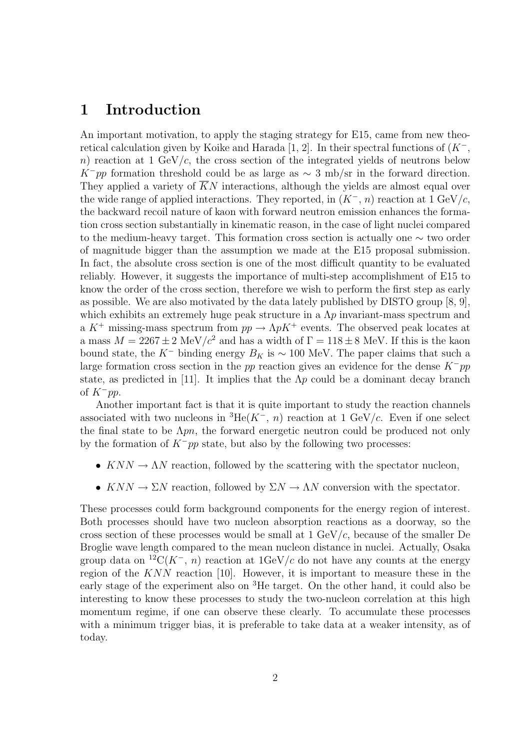### **1 Introduction**

An important motivation, to apply the staging strategy for E15, came from new theoretical calculation given by Koike and Harada [1, 2]. In their spectral functions of (*K−*, *n*) reaction at 1 GeV/*c*, the cross section of the integrated yields of neutrons below *K*<sup>−</sup>*pp* formation threshold could be as large as  $\sim$  3 mb/sr in the forward direction. They applied a variety of  $\overline{K}N$  interactions, although the yields are almost equal over the wide range of applied interactions. They reported, in  $(K^-, n)$  reaction at 1 GeV/*c*, the backward recoil nature of kaon with forward neutron emission enhances the formation cross section substantially in kinematic reason, in the case of light nuclei compared to the medium-heavy target. This formation cross section is actually one *∼* two order of magnitude bigger than the assumption we made at the E15 proposal submission. In fact, the absolute cross section is one of the most difficult quantity to be evaluated reliably. However, it suggests the importance of multi-step accomplishment of E15 to know the order of the cross section, therefore we wish to perform the first step as early as possible. We are also motivated by the data lately published by DISTO group [8, 9], which exhibits an extremely huge peak structure in a Λ*p* invariant-mass spectrum and a  $K^+$  missing-mass spectrum from  $pp \to \Lambda p K^+$  events. The observed peak locates at a mass  $M = 2267 \pm 2 \text{ MeV}/c^2$  and has a width of  $\Gamma = 118 \pm 8 \text{ MeV}$ . If this is the kaon bound state, the  $K^-$  binding energy  $B_K$  is  $\sim 100$  MeV. The paper claims that such a large formation cross section in the *pp* reaction gives an evidence for the dense *K−pp* state, as predicted in [11]. It implies that the  $\Lambda p$  could be a dominant decay branch of *K−pp*.

Another important fact is that it is quite important to study the reaction channels associated with two nucleons in  ${}^{3}He(K^{-}, n)$  reaction at 1 GeV/*c*. Even if one select the final state to be Λ*pn*, the forward energetic neutron could be produced not only by the formation of *K−pp* state, but also by the following two processes:

- $KNN \rightarrow \Lambda N$  reaction, followed by the scattering with the spectator nucleon,
- $KNN \to \Sigma N$  reaction, followed by  $\Sigma N \to \Lambda N$  conversion with the spectator.

These processes could form background components for the energy region of interest. Both processes should have two nucleon absorption reactions as a doorway, so the cross section of these processes would be small at 1 GeV/*c*, because of the smaller De Broglie wave length compared to the mean nucleon distance in nuclei. Actually, Osaka group data on <sup>12</sup>C( $K^-$ , *n*) reaction at 1GeV/*c* do not have any counts at the energy region of the *KNN* reaction [10]. However, it is important to measure these in the early stage of the experiment also on <sup>3</sup>He target. On the other hand, it could also be interesting to know these processes to study the two-nucleon correlation at this high momentum regime, if one can observe these clearly. To accumulate these processes with a minimum trigger bias, it is preferable to take data at a weaker intensity, as of today.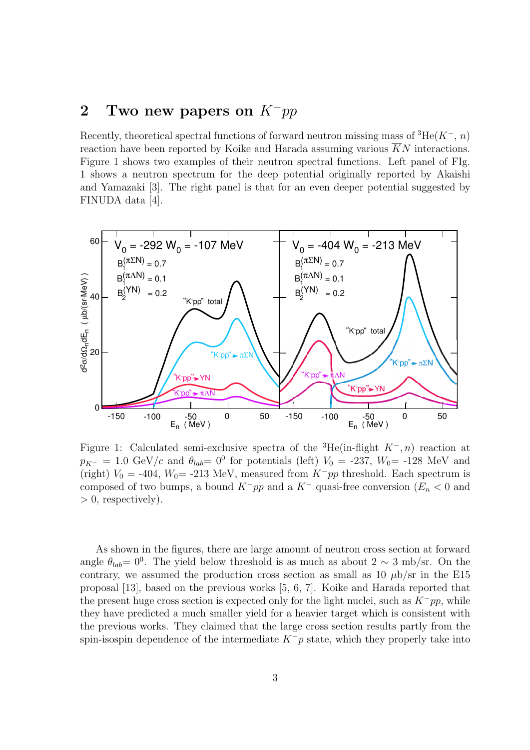### **2 Two new papers on** *K−pp*

Recently, theoretical spectral functions of forward neutron missing mass of <sup>3</sup>He(*K−*, *n*) reaction have been reported by Koike and Harada assuming various  $\overline{K}N$  interactions. Figure 1 shows two examples of their neutron spectral functions. Left panel of FIg. 1 shows a neutron spectrum for the deep potential originally reported by Akaishi and Yamazaki [3]. The right panel is that for an even deeper potential suggested by FINUDA data [4].



Figure 1: Calculated semi-exclusive spectra of the <sup>3</sup>He(in-flight *K−, n*) reaction at  $p_{K^-} = 1.0 \text{ GeV}/c$  and  $\theta_{lab} = 0^0$  for potentials (left)  $V_0 = -237$ ,  $W_0 = -128 \text{ MeV}$  and (right)  $V_0 = -404$ ,  $W_0 = -213$  MeV, measured from  $K^-pp$  threshold. Each spectrum is composed of two bumps, a bound  $K^-pp$  and a  $K^-$  quasi-free conversion ( $E_n < 0$  and *>* 0, respectively).

As shown in the figures, there are large amount of neutron cross section at forward angle  $\theta_{lab} = 0^0$ . The yield below threshold is as much as about 2  $\sim$  3 mb/sr. On the contrary, we assumed the production cross section as small as  $10 \mu b/sr$  in the E15 proposal [13], based on the previous works [5, 6, 7]. Koike and Harada reported that the present huge cross section is expected only for the light nuclei, such as *K−pp*, while they have predicted a much smaller yield for a heavier target which is consistent with the previous works. They claimed that the large cross section results partly from the spin-isospin dependence of the intermediate  $K^-p$  state, which they properly take into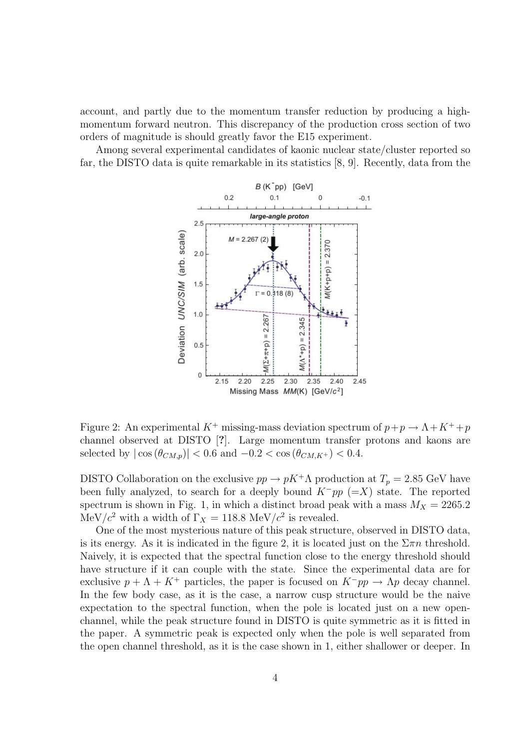account, and partly due to the momentum transfer reduction by producing a highmomentum forward neutron. This discrepancy of the production cross section of two orders of magnitude is should greatly favor the E15 experiment.

Among several experimental candidates of kaonic nuclear state/cluster reported so far, the DISTO data is quite remarkable in its statistics [8, 9]. Recently, data from the



Figure 2: An experimental  $K^+$  missing-mass deviation spectrum of  $p + p \rightarrow \Lambda + K^+ + p$ channel observed at DISTO [**?**]. Large momentum transfer protons and kaons are selected by  $|\cos(\theta_{CM,p})| < 0.6$  and  $-0.2 < \cos(\theta_{CM,K^{+}}) < 0.4$ .

DISTO Collaboration on the exclusive  $pp \to pK^+\Lambda$  production at  $T_p = 2.85$  GeV have been fully analyzed, to search for a deeply bound *K−pp* (=*X*) state. The reported spectrum is shown in Fig. 1, in which a distinct broad peak with a mass  $M_X = 2265.2$ MeV/ $c^2$  with a width of  $\Gamma_X = 118.8 \text{ MeV}/c^2$  is revealed.

One of the most mysterious nature of this peak structure, observed in DISTO data, is its energy. As it is indicated in the figure 2, it is located just on the  $\Sigma \pi n$  threshold. Naively, it is expected that the spectral function close to the energy threshold should have structure if it can couple with the state. Since the experimental data are for exclusive  $p + \Lambda + K^+$  particles, the paper is focused on  $K^-pp \to \Lambda p$  decay channel. In the few body case, as it is the case, a narrow cusp structure would be the naive expectation to the spectral function, when the pole is located just on a new openchannel, while the peak structure found in DISTO is quite symmetric as it is fitted in the paper. A symmetric peak is expected only when the pole is well separated from the open channel threshold, as it is the case shown in 1, either shallower or deeper. In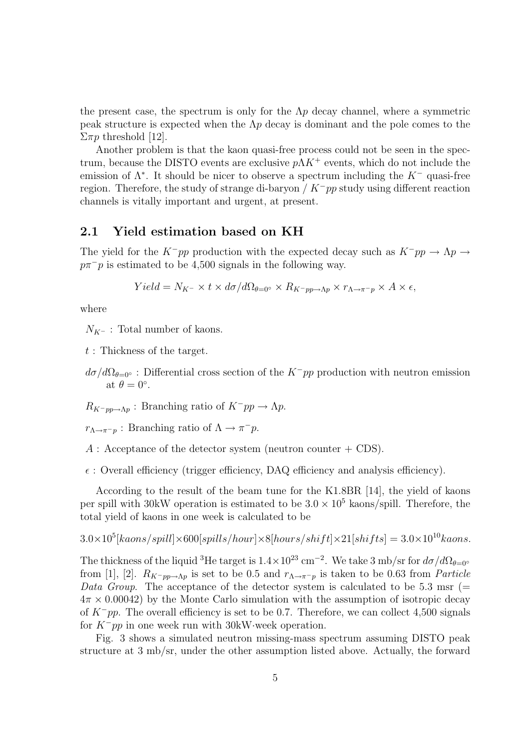the present case, the spectrum is only for the  $\Lambda p$  decay channel, where a symmetric peak structure is expected when the Λ*p* decay is dominant and the pole comes to the  $\Sigma \pi p$  threshold [12].

Another problem is that the kaon quasi-free process could not be seen in the spectrum, because the DISTO events are exclusive *p*Λ*K*<sup>+</sup> events, which do not include the emission of Λ*<sup>∗</sup>* . It should be nicer to observe a spectrum including the *K<sup>−</sup>* quasi-free region. Therefore, the study of strange di-baryon / *K−pp* study using different reaction channels is vitally important and urgent, at present.

#### **2.1 Yield estimation based on KH**

The yield for the  $K^-pp$  production with the expected decay such as  $K^-pp \to \Lambda p \to$  $p\pi$ <sup>−</sup>*p* is estimated to be 4,500 signals in the following way.

$$
Yield = N_{K^-} \times t \times d\sigma/d\Omega_{\theta=0^{\circ}} \times R_{K^-pp \to \Lambda p} \times r_{\Lambda \to \pi^-p} \times A \times \epsilon,
$$

where

*N*<sub>*K*<sup>−</sup> : Total number of kaons.</sub>

*t* : Thickness of the target.

 $d\sigma/d\Omega_{\theta=0}$ ° : Differential cross section of the *K<sup>−</sup>pp* production with neutron emission at  $\theta = 0^\circ$ .

 $R_{K-pp\rightarrow\Lambda p}$  : Branching ratio of  $K^-pp\rightarrow\Lambda p$ .

 $r_{\Lambda \to \pi^- p}$  : Branching ratio of  $\Lambda \to \pi^- p$ .

 $A:$  Acceptance of the detector system (neutron counter  $+$  CDS).

 $\epsilon$ : Overall efficiency (trigger efficiency, DAQ efficiency and analysis efficiency).

According to the result of the beam tune for the K1.8BR [14], the yield of kaons per spill with 30kW operation is estimated to be  $3.0 \times 10^5$  kaons/spill. Therefore, the total yield of kaons in one week is calculated to be

 $3.0 \times 10^5$ [kaons/spill] $\times 600$ [spills/hour] $\times 8$ [hours/shift] $\times 21$ [shifts] =  $3.0 \times 10^{10}$ kaons.

The thickness of the liquid <sup>3</sup>He target is  $1.4 \times 10^{23}$  cm<sup>−2</sup>. We take 3 mb/sr for  $d\sigma/d\Omega_{\theta=0}$ <sup>*∘*</sup> from [1], [2].  $R_{K^-pp\to\Lambda p}$  is set to be 0.5 and  $r_{\Lambda\to\pi^-p}$  is taken to be 0.63 from *Particle Data Group*. The acceptance of the detector system is calculated to be 5.3 msr (= 4*π ×* 0*.*00042) by the Monte Carlo simulation with the assumption of isotropic decay of *K−pp*. The overall efficiency is set to be 0.7. Therefore, we can collect 4,500 signals for *K−pp* in one week run with 30kW*·*week operation.

Fig. 3 shows a simulated neutron missing-mass spectrum assuming DISTO peak structure at 3 mb/sr, under the other assumption listed above. Actually, the forward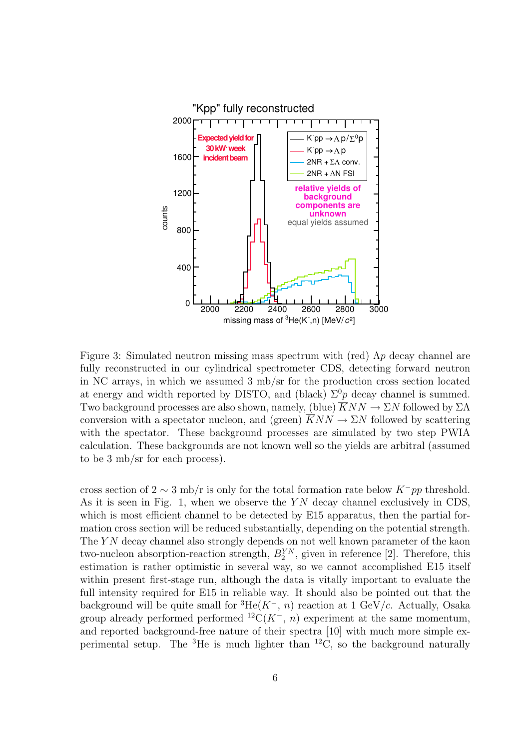

Figure 3: Simulated neutron missing mass spectrum with (red) Λ*p* decay channel are fully reconstructed in our cylindrical spectrometer CDS, detecting forward neutron in NC arrays, in which we assumed 3 mb/sr for the production cross section located at energy and width reported by DISTO, and (black)  $\Sigma^{0}p$  decay channel is summed. Two background processes are also shown, namely, (blue)  $\overline{K}NN \rightarrow \Sigma N$  followed by  $\Sigma\Lambda$ conversion with a spectator nucleon, and (green)  $\overline{K}NN \rightarrow \Sigma N$  followed by scattering with the spectator. These background processes are simulated by two step PWIA calculation. These backgrounds are not known well so the yields are arbitral (assumed to be 3 mb/sr for each process).

cross section of 2 *∼* 3 mb/r is only for the total formation rate below *K−pp* threshold. As it is seen in Fig. 1, when we observe the *Y N* decay channel exclusively in CDS, which is most efficient channel to be detected by E15 apparatus, then the partial formation cross section will be reduced substantially, depending on the potential strength. The *YN* decay channel also strongly depends on not well known parameter of the kaon two-nucleon absorption-reaction strength,  $B_2^{YN}$ , given in reference [2]. Therefore, this estimation is rather optimistic in several way, so we cannot accomplished E15 itself within present first-stage run, although the data is vitally important to evaluate the full intensity required for E15 in reliable way. It should also be pointed out that the background will be quite small for  ${}^{3}He(K^{-}, n)$  reaction at 1 GeV/*c*. Actually, Osaka group already performed performed  ${}^{12}C(K^-, n)$  experiment at the same momentum, and reported background-free nature of their spectra [10] with much more simple experimental setup. The  ${}^{3}$ He is much lighter than  ${}^{12}$ C, so the background naturally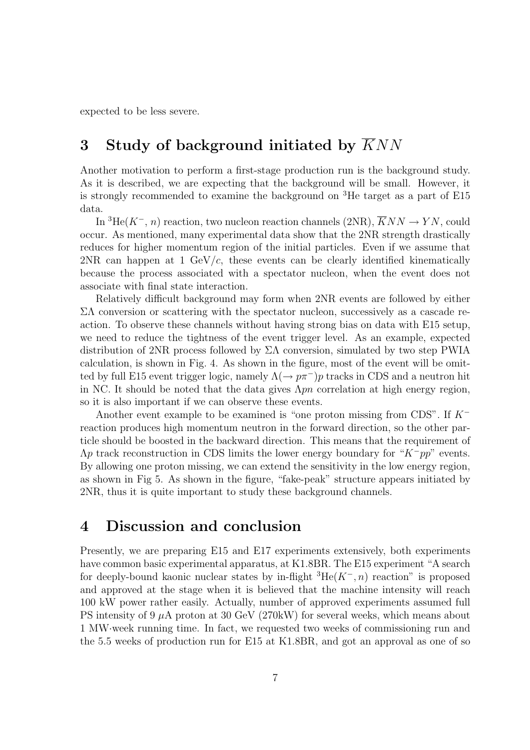expected to be less severe.

## **3 Study of background initiated by** *KNN*

Another motivation to perform a first-stage production run is the background study. As it is described, we are expecting that the background will be small. However, it is strongly recommended to examine the background on <sup>3</sup>He target as a part of E15 data.

In <sup>3</sup>He( $K^-$ , *n*) reaction, two nucleon reaction channels (2NR),  $\overline{K}NN \rightarrow YN$ , could occur. As mentioned, many experimental data show that the 2NR strength drastically reduces for higher momentum region of the initial particles. Even if we assume that 2NR can happen at 1 GeV/*c*, these events can be clearly identified kinematically because the process associated with a spectator nucleon, when the event does not associate with final state interaction.

Relatively difficult background may form when 2NR events are followed by either ΣΛ conversion or scattering with the spectator nucleon, successively as a cascade reaction. To observe these channels without having strong bias on data with E15 setup, we need to reduce the tightness of the event trigger level. As an example, expected distribution of 2NR process followed by  $\Sigma\Lambda$  conversion, simulated by two step PWIA calculation, is shown in Fig. 4. As shown in the figure, most of the event will be omitted by full E15 event trigger logic, namely  $\Lambda(\rightarrow p\pi^-)p$  tracks in CDS and a neutron hit in NC. It should be noted that the data gives  $\Lambda pn$  correlation at high energy region, so it is also important if we can observe these events.

Another event example to be examined is "one proton missing from CDS". If *K<sup>−</sup>* reaction produces high momentum neutron in the forward direction, so the other particle should be boosted in the backward direction. This means that the requirement of Λ*p* track reconstruction in CDS limits the lower energy boundary for "*K−pp*" events. By allowing one proton missing, we can extend the sensitivity in the low energy region, as shown in Fig 5. As shown in the figure, "fake-peak" structure appears initiated by 2NR, thus it is quite important to study these background channels.

#### **4 Discussion and conclusion**

Presently, we are preparing E15 and E17 experiments extensively, both experiments have common basic experimental apparatus, at K1.8BR. The E15 experiment "A search for deeply-bound kaonic nuclear states by in-flight <sup>3</sup>He(*K−, n*) reaction" is proposed and approved at the stage when it is believed that the machine intensity will reach 100 kW power rather easily. Actually, number of approved experiments assumed full PS intensity of 9  $\mu$ A proton at 30 GeV (270kW) for several weeks, which means about 1 MW*·*week running time. In fact, we requested two weeks of commissioning run and the 5.5 weeks of production run for E15 at K1.8BR, and got an approval as one of so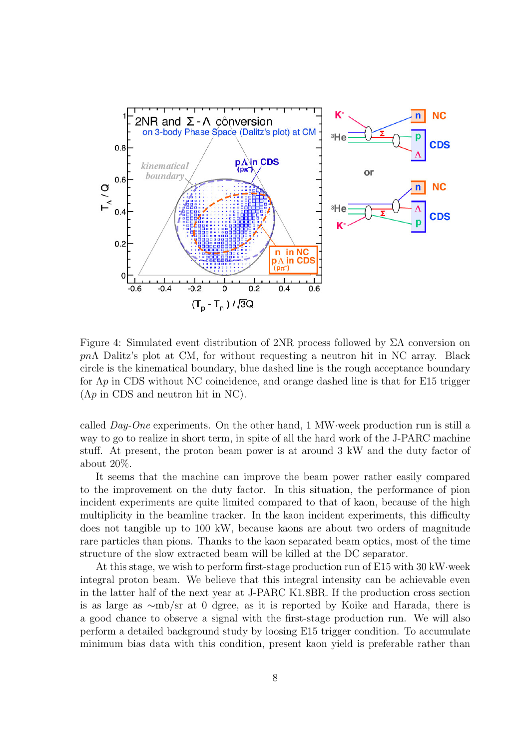

Figure 4: Simulated event distribution of 2NR process followed by  $\Sigma\Lambda$  conversion on *pn*Λ Dalitz's plot at CM, for without requesting a neutron hit in NC array. Black circle is the kinematical boundary, blue dashed line is the rough acceptance boundary for Λ*p* in CDS without NC coincidence, and orange dashed line is that for E15 trigger  $(\Lambda p)$  in CDS and neutron hit in NC.

called *Day-One* experiments. On the other hand, 1 MW*·*week production run is still a way to go to realize in short term, in spite of all the hard work of the J-PARC machine stuff. At present, the proton beam power is at around 3 kW and the duty factor of about 20%.

It seems that the machine can improve the beam power rather easily compared to the improvement on the duty factor. In this situation, the performance of pion incident experiments are quite limited compared to that of kaon, because of the high multiplicity in the beamline tracker. In the kaon incident experiments, this difficulty does not tangible up to 100 kW, because kaons are about two orders of magnitude rare particles than pions. Thanks to the kaon separated beam optics, most of the time structure of the slow extracted beam will be killed at the DC separator.

At this stage, we wish to perform first-stage production run of E15 with 30 kW*·*week integral proton beam. We believe that this integral intensity can be achievable even in the latter half of the next year at J-PARC K1.8BR. If the production cross section is as large as *∼*mb/sr at 0 dgree, as it is reported by Koike and Harada, there is a good chance to observe a signal with the first-stage production run. We will also perform a detailed background study by loosing E15 trigger condition. To accumulate minimum bias data with this condition, present kaon yield is preferable rather than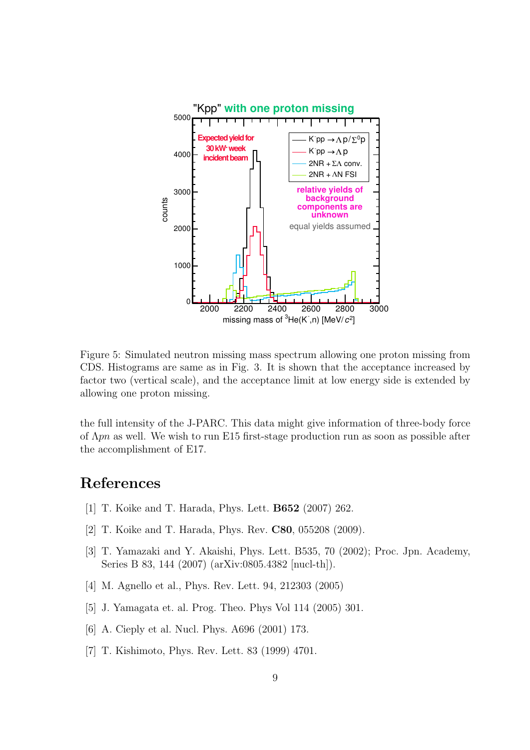

Figure 5: Simulated neutron missing mass spectrum allowing one proton missing from CDS. Histograms are same as in Fig. 3. It is shown that the acceptance increased by factor two (vertical scale), and the acceptance limit at low energy side is extended by allowing one proton missing.

the full intensity of the J-PARC. This data might give information of three-body force of Λ*pn* as well. We wish to run E15 first-stage production run as soon as possible after the accomplishment of E17.

### **References**

- [1] T. Koike and T. Harada, Phys. Lett. **B652** (2007) 262.
- [2] T. Koike and T. Harada, Phys. Rev. **C80**, 055208 (2009).
- [3] T. Yamazaki and Y. Akaishi, Phys. Lett. B535, 70 (2002); Proc. Jpn. Academy, Series B 83, 144 (2007) (arXiv:0805.4382 [nucl-th]).
- [4] M. Agnello et al., Phys. Rev. Lett. 94, 212303 (2005)
- [5] J. Yamagata et. al. Prog. Theo. Phys Vol 114 (2005) 301.
- [6] A. Cieply et al. Nucl. Phys. A696 (2001) 173.
- [7] T. Kishimoto, Phys. Rev. Lett. 83 (1999) 4701.